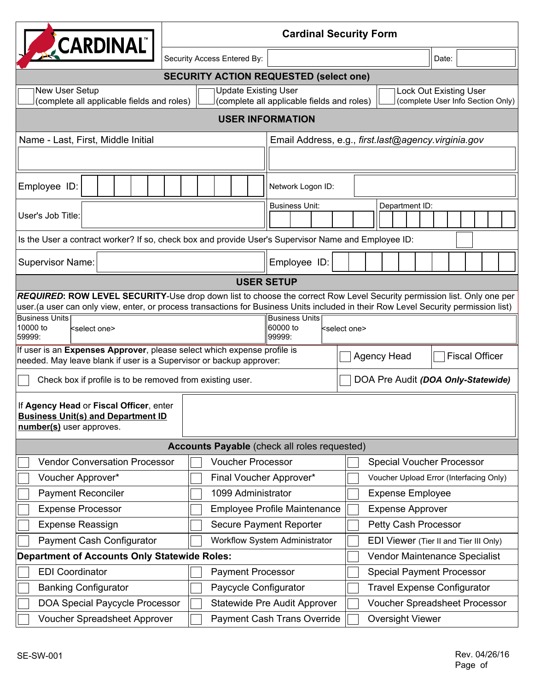| <b>CARDINAL</b>                                                                                                                                                                                                                                               |                                     |                             |  |                                                             |                                    |                                             | <b>Cardinal Security Form</b>           |                |  |                               |  |  |  |                                   |  |
|---------------------------------------------------------------------------------------------------------------------------------------------------------------------------------------------------------------------------------------------------------------|-------------------------------------|-----------------------------|--|-------------------------------------------------------------|------------------------------------|---------------------------------------------|-----------------------------------------|----------------|--|-------------------------------|--|--|--|-----------------------------------|--|
|                                                                                                                                                                                                                                                               |                                     | Security Access Entered By: |  |                                                             |                                    |                                             |                                         |                |  | Date:                         |  |  |  |                                   |  |
| <b>SECURITY ACTION REQUESTED (select one)</b>                                                                                                                                                                                                                 |                                     |                             |  |                                                             |                                    |                                             |                                         |                |  |                               |  |  |  |                                   |  |
| New User Setup<br><b>Update Existing User</b><br>(complete all applicable fields and roles)<br>(complete all applicable fields and roles)                                                                                                                     |                                     |                             |  |                                                             |                                    |                                             |                                         |                |  | <b>Lock Out Existing User</b> |  |  |  | (complete User Info Section Only) |  |
| <b>USER INFORMATION</b>                                                                                                                                                                                                                                       |                                     |                             |  |                                                             |                                    |                                             |                                         |                |  |                               |  |  |  |                                   |  |
| Name - Last, First, Middle Initial                                                                                                                                                                                                                            |                                     |                             |  | Email Address, e.g., first.last@agency.virginia.gov         |                                    |                                             |                                         |                |  |                               |  |  |  |                                   |  |
|                                                                                                                                                                                                                                                               |                                     |                             |  |                                                             |                                    |                                             |                                         |                |  |                               |  |  |  |                                   |  |
| Employee ID:                                                                                                                                                                                                                                                  |                                     |                             |  | Network Logon ID:                                           |                                    |                                             |                                         |                |  |                               |  |  |  |                                   |  |
| User's Job Title:                                                                                                                                                                                                                                             |                                     |                             |  | <b>Business Unit:</b>                                       |                                    |                                             |                                         | Department ID: |  |                               |  |  |  |                                   |  |
|                                                                                                                                                                                                                                                               |                                     |                             |  |                                                             |                                    |                                             |                                         |                |  |                               |  |  |  |                                   |  |
| Is the User a contract worker? If so, check box and provide User's Supervisor Name and Employee ID:                                                                                                                                                           |                                     |                             |  |                                                             |                                    |                                             |                                         |                |  |                               |  |  |  |                                   |  |
| <b>Supervisor Name:</b>                                                                                                                                                                                                                                       |                                     |                             |  | Employee ID:                                                |                                    |                                             |                                         |                |  |                               |  |  |  |                                   |  |
| <b>USER SETUP</b>                                                                                                                                                                                                                                             |                                     |                             |  |                                                             |                                    |                                             |                                         |                |  |                               |  |  |  |                                   |  |
| REQUIRED: ROW LEVEL SECURITY-Use drop down list to choose the correct Row Level Security permission list. Only one per<br>user (a user can only view, enter, or process transactions for Business Units included in their Row Level Security permission list) |                                     |                             |  |                                                             |                                    |                                             |                                         |                |  |                               |  |  |  |                                   |  |
| <b>Business Units</b><br>10000 to<br><select one=""><br/>59999:</select>                                                                                                                                                                                      |                                     |                             |  | <b>Business Units</b><br>60000 to<br>kselect one><br>99999: |                                    |                                             |                                         |                |  |                               |  |  |  |                                   |  |
| If user is an Expenses Approver, please select which expense profile is<br>needed. May leave blank if user is a Supervisor or backup approver:                                                                                                                |                                     |                             |  |                                                             |                                    | <b>Agency Head</b><br><b>Fiscal Officer</b> |                                         |                |  |                               |  |  |  |                                   |  |
| Check box if profile is to be removed from existing user.                                                                                                                                                                                                     |                                     |                             |  |                                                             |                                    | DOA Pre Audit (DOA Only-Statewide)          |                                         |                |  |                               |  |  |  |                                   |  |
| If Agency Head or Fiscal Officer, enter<br><b>Business Unit(s) and Department ID</b><br>number(s) user approves.                                                                                                                                              |                                     |                             |  |                                                             |                                    |                                             |                                         |                |  |                               |  |  |  |                                   |  |
|                                                                                                                                                                                                                                                               |                                     |                             |  | <b>Accounts Payable</b> (check all roles requested)         |                                    |                                             |                                         |                |  |                               |  |  |  |                                   |  |
| <b>Voucher Processor</b><br><b>Vendor Conversation Processor</b>                                                                                                                                                                                              |                                     |                             |  |                                                             |                                    | <b>Special Voucher Processor</b>            |                                         |                |  |                               |  |  |  |                                   |  |
| Voucher Approver*<br>Final Voucher Approver*                                                                                                                                                                                                                  |                                     |                             |  |                                                             |                                    |                                             | Voucher Upload Error (Interfacing Only) |                |  |                               |  |  |  |                                   |  |
| <b>Payment Reconciler</b><br>1099 Administrator                                                                                                                                                                                                               |                                     |                             |  |                                                             |                                    |                                             | <b>Expense Employee</b>                 |                |  |                               |  |  |  |                                   |  |
| <b>Expense Processor</b>                                                                                                                                                                                                                                      | <b>Employee Profile Maintenance</b> |                             |  |                                                             |                                    |                                             | <b>Expense Approver</b>                 |                |  |                               |  |  |  |                                   |  |
| <b>Expense Reassign</b>                                                                                                                                                                                                                                       | <b>Secure Payment Reporter</b>      |                             |  |                                                             |                                    |                                             | Petty Cash Processor                    |                |  |                               |  |  |  |                                   |  |
| <b>Payment Cash Configurator</b>                                                                                                                                                                                                                              | Workflow System Administrator       |                             |  |                                                             |                                    | EDI Viewer (Tier II and Tier III Only)      |                                         |                |  |                               |  |  |  |                                   |  |
| <b>Department of Accounts Only Statewide Roles:</b>                                                                                                                                                                                                           |                                     |                             |  |                                                             | Vendor Maintenance Specialist      |                                             |                                         |                |  |                               |  |  |  |                                   |  |
| <b>EDI Coordinator</b>                                                                                                                                                                                                                                        | <b>Payment Processor</b>            |                             |  |                                                             | <b>Special Payment Processor</b>   |                                             |                                         |                |  |                               |  |  |  |                                   |  |
| <b>Banking Configurator</b>                                                                                                                                                                                                                                   | Paycycle Configurator               |                             |  |                                                             | <b>Travel Expense Configurator</b> |                                             |                                         |                |  |                               |  |  |  |                                   |  |
| <b>DOA Special Paycycle Processor</b>                                                                                                                                                                                                                         | <b>Statewide Pre Audit Approver</b> |                             |  |                                                             | Voucher Spreadsheet Processor      |                                             |                                         |                |  |                               |  |  |  |                                   |  |
| <b>Voucher Spreadsheet Approver</b>                                                                                                                                                                                                                           | <b>Payment Cash Trans Override</b>  |                             |  |                                                             |                                    | <b>Oversight Viewer</b>                     |                                         |                |  |                               |  |  |  |                                   |  |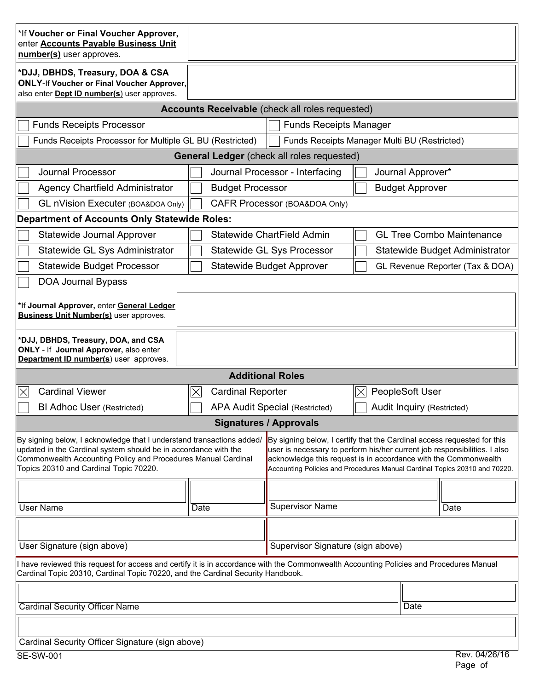| *If Voucher or Final Voucher Approver,<br>enter <b>Accounts Payable Business Unit</b><br>number(s) user approves.                                                                                                                                   |                                                                                                                                                                                                                                                                                                       |                                                      |                               |                                   |  |  |  |  |
|-----------------------------------------------------------------------------------------------------------------------------------------------------------------------------------------------------------------------------------------------------|-------------------------------------------------------------------------------------------------------------------------------------------------------------------------------------------------------------------------------------------------------------------------------------------------------|------------------------------------------------------|-------------------------------|-----------------------------------|--|--|--|--|
| *DJJ, DBHDS, Treasury, DOA & CSA<br><b>ONLY-If Voucher or Final Voucher Approver,</b><br>also enter <b>Dept ID number(s)</b> user approves.                                                                                                         |                                                                                                                                                                                                                                                                                                       |                                                      |                               |                                   |  |  |  |  |
| <b>Accounts Receivable</b> (check all roles requested)                                                                                                                                                                                              |                                                                                                                                                                                                                                                                                                       |                                                      |                               |                                   |  |  |  |  |
| <b>Funds Receipts Processor</b><br><b>Funds Receipts Manager</b>                                                                                                                                                                                    |                                                                                                                                                                                                                                                                                                       |                                                      |                               |                                   |  |  |  |  |
| Funds Receipts Processor for Multiple GL BU (Restricted)<br>Funds Receipts Manager Multi BU (Restricted)                                                                                                                                            |                                                                                                                                                                                                                                                                                                       |                                                      |                               |                                   |  |  |  |  |
|                                                                                                                                                                                                                                                     |                                                                                                                                                                                                                                                                                                       | <b>General Ledger</b> (check all roles requested)    |                               |                                   |  |  |  |  |
| <b>Journal Processor</b>                                                                                                                                                                                                                            |                                                                                                                                                                                                                                                                                                       | Journal Processor - Interfacing<br>Journal Approver* |                               |                                   |  |  |  |  |
| <b>Agency Chartfield Administrator</b>                                                                                                                                                                                                              | <b>Budget Processor</b>                                                                                                                                                                                                                                                                               | <b>Budget Approver</b>                               |                               |                                   |  |  |  |  |
| <b>GL nVision Executer (BOA&amp;DOA Only)</b>                                                                                                                                                                                                       | CAFR Processor (BOA&DOA Only)                                                                                                                                                                                                                                                                         |                                                      |                               |                                   |  |  |  |  |
| <b>Department of Accounts Only Statewide Roles:</b>                                                                                                                                                                                                 |                                                                                                                                                                                                                                                                                                       |                                                      |                               |                                   |  |  |  |  |
| Statewide Journal Approver                                                                                                                                                                                                                          |                                                                                                                                                                                                                                                                                                       | Statewide ChartField Admin                           |                               | <b>GL Tree Combo Maintenance</b>  |  |  |  |  |
| Statewide GL Sys Administrator                                                                                                                                                                                                                      |                                                                                                                                                                                                                                                                                                       | <b>Statewide GL Sys Processor</b>                    |                               | Statewide Budget Administrator    |  |  |  |  |
| <b>Statewide Budget Processor</b>                                                                                                                                                                                                                   |                                                                                                                                                                                                                                                                                                       | <b>Statewide Budget Approver</b>                     |                               | GL Revenue Reporter (Tax & DOA)   |  |  |  |  |
| DOA Journal Bypass                                                                                                                                                                                                                                  |                                                                                                                                                                                                                                                                                                       |                                                      |                               |                                   |  |  |  |  |
| *If Journal Approver, enter General Ledger<br><b>Business Unit Number(s)</b> user approves.                                                                                                                                                         |                                                                                                                                                                                                                                                                                                       |                                                      |                               |                                   |  |  |  |  |
| *DJJ, DBHDS, Treasury, DOA, and CSA<br>ONLY - If Journal Approver, also enter<br>Department ID number(s) user approves.                                                                                                                             |                                                                                                                                                                                                                                                                                                       |                                                      |                               |                                   |  |  |  |  |
|                                                                                                                                                                                                                                                     |                                                                                                                                                                                                                                                                                                       | <b>Additional Roles</b>                              |                               |                                   |  |  |  |  |
| <b>Cardinal Viewer</b><br>$\times$                                                                                                                                                                                                                  | $\overline{\times}$<br><b>Cardinal Reporter</b>                                                                                                                                                                                                                                                       |                                                      | PeopleSoft User<br>$ \times $ |                                   |  |  |  |  |
| <b>BI Adhoc User (Restricted)</b>                                                                                                                                                                                                                   | <b>APA Audit Special (Restricted)</b>                                                                                                                                                                                                                                                                 |                                                      |                               | <b>Audit Inquiry (Restricted)</b> |  |  |  |  |
| <b>Signatures / Approvals</b>                                                                                                                                                                                                                       |                                                                                                                                                                                                                                                                                                       |                                                      |                               |                                   |  |  |  |  |
| By signing below, I acknowledge that I understand transactions added/<br>updated in the Cardinal system should be in accordance with the<br>Commonwealth Accounting Policy and Procedures Manual Cardinal<br>Topics 20310 and Cardinal Topic 70220. | By signing below, I certify that the Cardinal access requested for this<br>user is necessary to perform his/her current job responsibilities. I also<br>acknowledge this request is in accordance with the Commonwealth<br>Accounting Policies and Procedures Manual Cardinal Topics 20310 and 70220. |                                                      |                               |                                   |  |  |  |  |
| <b>User Name</b><br><b>Date</b>                                                                                                                                                                                                                     |                                                                                                                                                                                                                                                                                                       | <b>Supervisor Name</b><br>Date                       |                               |                                   |  |  |  |  |
|                                                                                                                                                                                                                                                     |                                                                                                                                                                                                                                                                                                       |                                                      |                               |                                   |  |  |  |  |
|                                                                                                                                                                                                                                                     |                                                                                                                                                                                                                                                                                                       |                                                      |                               |                                   |  |  |  |  |
| User Signature (sign above)                                                                                                                                                                                                                         |                                                                                                                                                                                                                                                                                                       | Supervisor Signature (sign above)                    |                               |                                   |  |  |  |  |
| I have reviewed this request for access and certify it is in accordance with the Commonwealth Accounting Policies and Procedures Manual<br>Cardinal Topic 20310, Cardinal Topic 70220, and the Cardinal Security Handbook.                          |                                                                                                                                                                                                                                                                                                       |                                                      |                               |                                   |  |  |  |  |
|                                                                                                                                                                                                                                                     |                                                                                                                                                                                                                                                                                                       |                                                      |                               |                                   |  |  |  |  |
| <b>Cardinal Security Officer Name</b>                                                                                                                                                                                                               | Date                                                                                                                                                                                                                                                                                                  |                                                      |                               |                                   |  |  |  |  |
|                                                                                                                                                                                                                                                     |                                                                                                                                                                                                                                                                                                       |                                                      |                               |                                   |  |  |  |  |
| Cardinal Security Officer Signature (sign above)                                                                                                                                                                                                    |                                                                                                                                                                                                                                                                                                       |                                                      |                               |                                   |  |  |  |  |
| Rev. 04/26/16<br><b>SE-SW-001</b>                                                                                                                                                                                                                   |                                                                                                                                                                                                                                                                                                       |                                                      |                               |                                   |  |  |  |  |